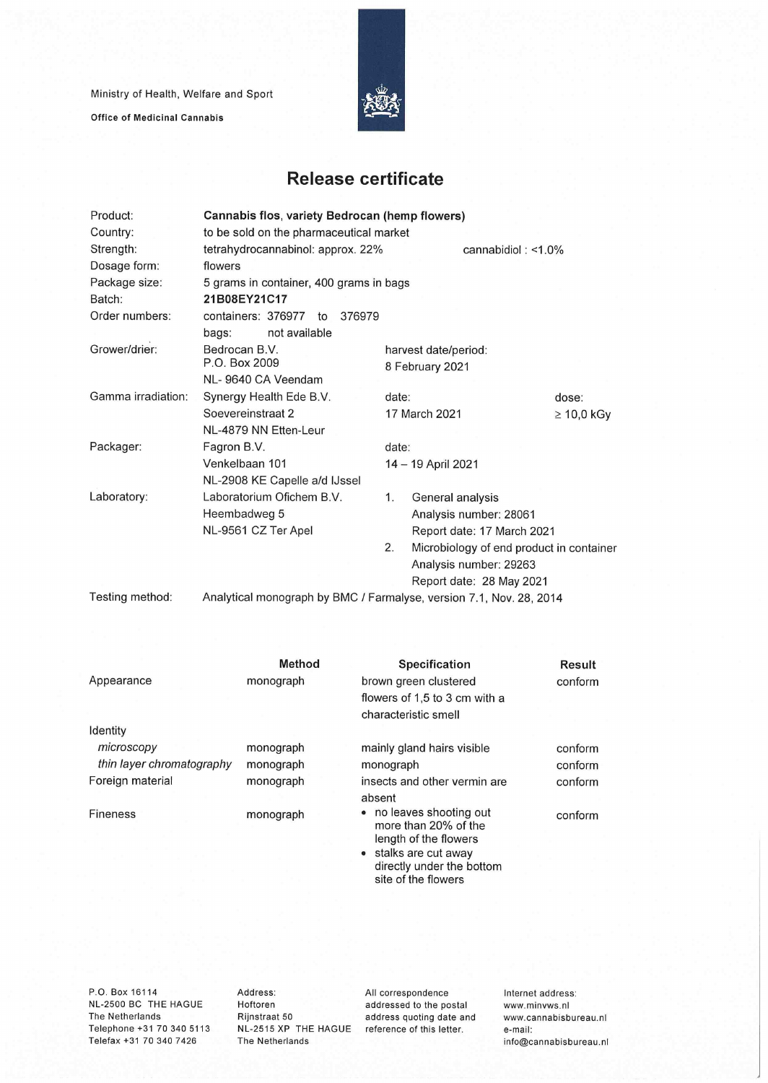Ministry of Health, Welfare and Sport

Office of Medicinal Cannabis



## **Release certificate**

| Product:           | Cannabis flos, variety Bedrocan (hemp flowers)                      |                                                |                            |                       |  |  |
|--------------------|---------------------------------------------------------------------|------------------------------------------------|----------------------------|-----------------------|--|--|
| Country:           | to be sold on the pharmaceutical market                             |                                                |                            |                       |  |  |
| Strength:          | tetrahydrocannabinol: approx. 22%                                   |                                                |                            | cannabidiol: $<$ 1.0% |  |  |
| Dosage form:       | flowers                                                             |                                                |                            |                       |  |  |
| Package size:      | 5 grams in container, 400 grams in bags                             |                                                |                            |                       |  |  |
| Batch:             | 21B08EY21C17                                                        |                                                |                            |                       |  |  |
| Order numbers:     | containers: 376977<br>376979<br>to                                  |                                                |                            |                       |  |  |
|                    | not available<br>bags:                                              |                                                |                            |                       |  |  |
| Grower/drier:      | Bedrocan B.V.                                                       | harvest date/period:                           |                            |                       |  |  |
|                    | P.O. Box 2009                                                       |                                                | 8 February 2021            |                       |  |  |
|                    | NL-9640 CA Veendam                                                  |                                                |                            |                       |  |  |
| Gamma irradiation: | Synergy Health Ede B.V.                                             |                                                | date:                      | dose:                 |  |  |
|                    | Soevereinstraat 2                                                   |                                                | 17 March 2021              | $\geq 10,0$ kGy       |  |  |
|                    | NL-4879 NN Etten-Leur                                               |                                                |                            |                       |  |  |
| Packager:          | Fagron B.V.                                                         |                                                | date:                      |                       |  |  |
|                    | Venkelbaan 101                                                      |                                                | 14 - 19 April 2021         |                       |  |  |
|                    | NL-2908 KE Capelle a/d IJssel                                       |                                                |                            |                       |  |  |
| Laboratory:        | Laboratorium Ofichem B.V.                                           | 1.                                             | General analysis           |                       |  |  |
|                    | Heembadweg 5                                                        |                                                | Analysis number: 28061     |                       |  |  |
|                    | NL-9561 CZ Ter Apel                                                 |                                                | Report date: 17 March 2021 |                       |  |  |
|                    |                                                                     | 2.<br>Microbiology of end product in container |                            |                       |  |  |
|                    |                                                                     |                                                | Analysis number: 29263     |                       |  |  |
|                    |                                                                     |                                                | Report date: 28 May 2021   |                       |  |  |
| Testing method:    | Analytical monograph by BMC / Farmalyse, version 7.1, Nov. 28, 2014 |                                                |                            |                       |  |  |

Appearance Identity *microscopy thin layer chromatography*  Foreign material Fineness **Method**  monograph monograph monograph monograph monograph **Specification**  brown green clustered flowers of 1,5 to 3 cm with a characteristic smelt mainly gland hairs visible monograph insects and other vermin are absent • no leaves shooting out more than 20% of the length of the flowers stalks are cut away directly under the bottom site of the flowers **Result**  conform conform conform conform conform

P.O. Box 16114 NL-2500 BC THE HAGUE The Netherlands Telephone +31 70 340 5113 Telefax +31 70 340 7426

Address: Hoftoren Rijnstraat 50 NL-2515 XP THE HAGUE The Netherlands

All correspondence addressed to the postai address quoting date and reference of this letter.

Internet address: www.minvws.n1 www.cannabisbureau.nl e-mail: info@cannabisbureau.nl